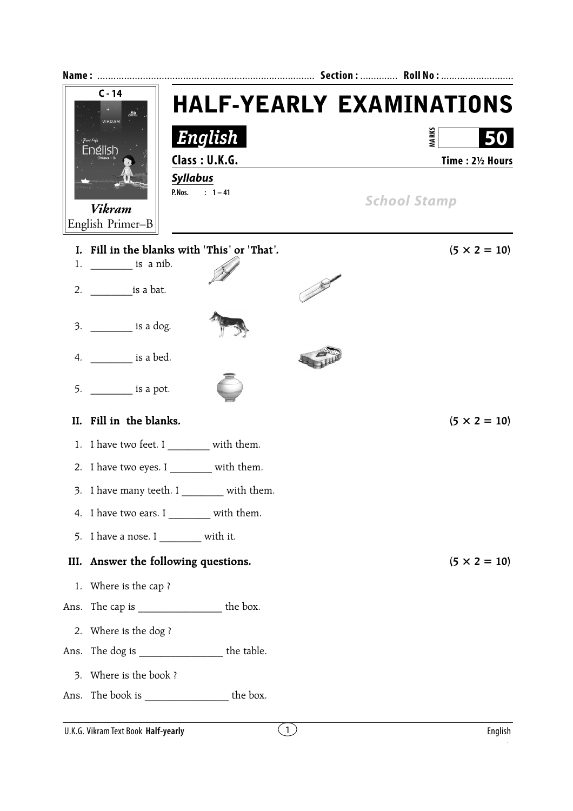|      | $C - 14$<br>VIKRAM<br>Real Like<br>English<br>Vikram<br>English Primer-B                                                                                                                                                                                                                                                                                                                                                                                                                                              | English<br>Class: U.K.G.<br><b>Syllabus</b><br>P.Nos. : $1 - 41$ | <b>HALF-YEARLY EXAMINATIONS</b><br><b>MARKS</b><br>Time: 21/2 Hours<br><b>School Stamp</b> |  |
|------|-----------------------------------------------------------------------------------------------------------------------------------------------------------------------------------------------------------------------------------------------------------------------------------------------------------------------------------------------------------------------------------------------------------------------------------------------------------------------------------------------------------------------|------------------------------------------------------------------|--------------------------------------------------------------------------------------------|--|
|      | 1. $\frac{1}{\sqrt{1-\frac{1}{\sqrt{1-\frac{1}{\sqrt{1-\frac{1}{\sqrt{1-\frac{1}{\sqrt{1-\frac{1}{\sqrt{1-\frac{1}{\sqrt{1-\frac{1}{\sqrt{1-\frac{1}{\sqrt{1-\frac{1}{\sqrt{1-\frac{1}{\sqrt{1-\frac{1}{\sqrt{1-\frac{1}{\sqrt{1-\frac{1}{\sqrt{1-\frac{1}{\sqrt{1-\frac{1}{\sqrt{1-\frac{1}{\sqrt{1-\frac{1}{\sqrt{1-\frac{1}{\sqrt{1-\frac{1}{\sqrt{1-\frac{1}{\sqrt{1-\frac{1}{\sqrt{1-\frac{1}{\sqrt{1-\frac{1}{\sqrt{1-\$<br>2. $\frac{1}{1}$ is a bat.<br>3. ____________ is a dog.<br>4. ___________ is a bed. | I. Fill in the blanks with 'This' or 'That'.                     | $(5 \times 2 = 10)$                                                                        |  |
|      | $5.$ ______________ is a pot.<br>II. Fill in the blanks.                                                                                                                                                                                                                                                                                                                                                                                                                                                              |                                                                  | $(5 \times 2 = 10)$                                                                        |  |
|      |                                                                                                                                                                                                                                                                                                                                                                                                                                                                                                                       | 1. I have two feet. I _________ with them.                       |                                                                                            |  |
|      |                                                                                                                                                                                                                                                                                                                                                                                                                                                                                                                       | 2. I have two eyes. I with them.                                 |                                                                                            |  |
|      |                                                                                                                                                                                                                                                                                                                                                                                                                                                                                                                       | 3. I have many teeth. I _________ with them.                     |                                                                                            |  |
|      |                                                                                                                                                                                                                                                                                                                                                                                                                                                                                                                       | 4. I have two ears. I _________ with them.                       |                                                                                            |  |
|      | 5. I have a nose. I _________ with it.                                                                                                                                                                                                                                                                                                                                                                                                                                                                                |                                                                  |                                                                                            |  |
| III. | Answer the following questions.                                                                                                                                                                                                                                                                                                                                                                                                                                                                                       |                                                                  | $(5 \times 2 = 10)$                                                                        |  |
|      | 1. Where is the cap?                                                                                                                                                                                                                                                                                                                                                                                                                                                                                                  |                                                                  |                                                                                            |  |
|      |                                                                                                                                                                                                                                                                                                                                                                                                                                                                                                                       | Ans. The cap is ________________________ the box.                |                                                                                            |  |
|      | 2. Where is the dog?                                                                                                                                                                                                                                                                                                                                                                                                                                                                                                  |                                                                  |                                                                                            |  |
|      |                                                                                                                                                                                                                                                                                                                                                                                                                                                                                                                       | Ans. The dog is ____________________ the table.                  |                                                                                            |  |
|      | 3. Where is the book ?                                                                                                                                                                                                                                                                                                                                                                                                                                                                                                |                                                                  |                                                                                            |  |
|      |                                                                                                                                                                                                                                                                                                                                                                                                                                                                                                                       | Ans. The book is _______________________ the box.                |                                                                                            |  |
|      | U.K.G. Vikram Text Book Half-yearly                                                                                                                                                                                                                                                                                                                                                                                                                                                                                   | $\left(1\right)$                                                 | English                                                                                    |  |